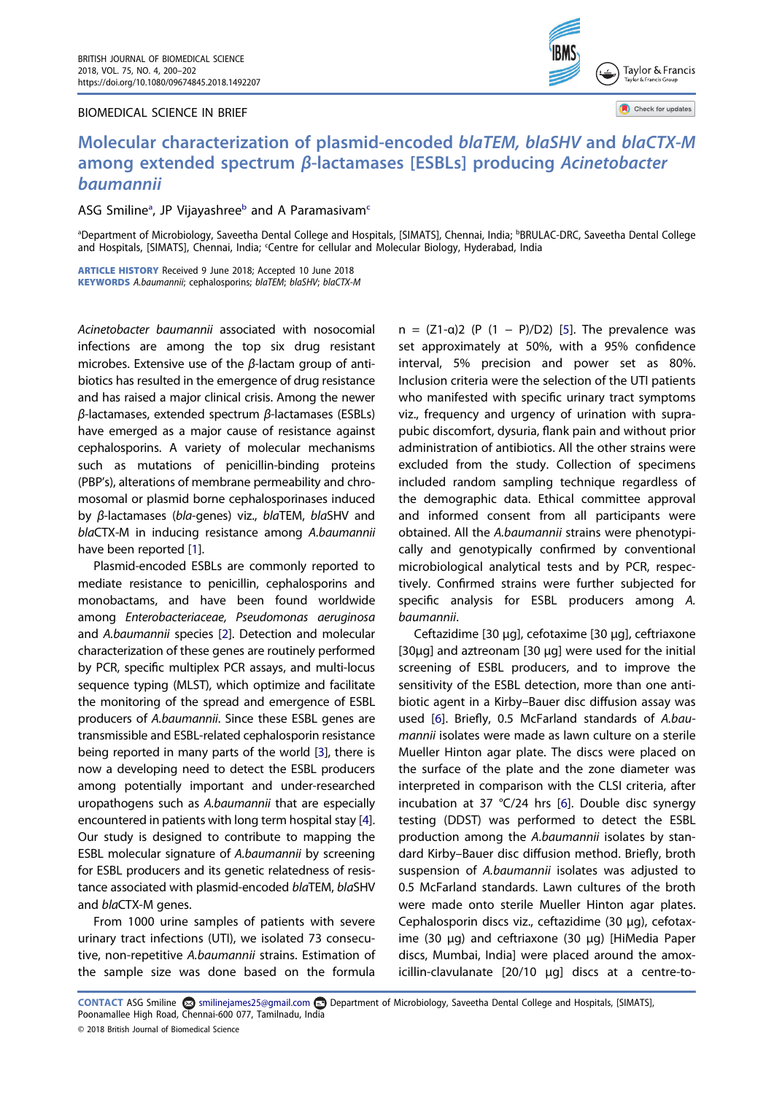## BIOMEDICAL SCIENCE IN BRIEF



Check for updates

## Molecular characterization of plasmid-encoded blaTEM, blaSHV and blaCTX-M among extended spectrum β-lactamases [ESBLs] producing Acinetobacter baumannii

ASG Smiline<sup>a</sup>, JP Vijayashree<sup>[b](#page-0-0)</sup> and A Paramasivam<sup>[c](#page-0-1)</sup>

<span id="page-0-1"></span><span id="page-0-0"></span>aDepartment of Microbiology, Saveetha Dental College and Hospitals, [SIMATS], Chennai, India; bBRULAC-DRC, Saveetha Dental College and Hospitals, [SIMATS], Chennai, India; 'Centre for cellular and Molecular Biology, Hyderabad, India

ARTICLE HISTORY Received 9 June 2018; Accepted 10 June 2018 KEYWORDS A.baumannii; cephalosporins; blaTEM; blaSHV; blaCTX-M

Acinetobacter baumannii associated with nosocomial infections are among the top six drug resistant microbes. Extensive use of the β-lactam group of antibiotics has resulted in the emergence of drug resistance and has raised a major clinical crisis. Among the newer β-lactamases, extended spectrum β-lactamases (ESBLs) have emerged as a major cause of resistance against cephalosporins. A variety of molecular mechanisms such as mutations of penicillin-binding proteins (PBP's), alterations of membrane permeability and chromosomal or plasmid borne cephalosporinases induced by β-lactamases (bla-genes) viz., blaTEM, blaSHV and blaCTX-M in inducing resistance among A.baumannii have been reported [\[1](#page-2-0)].

<span id="page-0-4"></span><span id="page-0-3"></span><span id="page-0-2"></span>Plasmid-encoded ESBLs are commonly reported to mediate resistance to penicillin, cephalosporins and monobactams, and have been found worldwide among Enterobacteriaceae, Pseudomonas aeruginosa and A.baumannii species [[2\]](#page-2-1). Detection and molecular characterization of these genes are routinely performed by PCR, specific multiplex PCR assays, and multi-locus sequence typing (MLST), which optimize and facilitate the monitoring of the spread and emergence of ESBL producers of A.baumannii. Since these ESBL genes are transmissible and ESBL-related cephalosporin resistance being reported in many parts of the world [[3\]](#page-2-2), there is now a developing need to detect the ESBL producers among potentially important and under-researched uropathogens such as A.baumannii that are especially encountered in patients with long term hospital stay [[4\]](#page-2-3). Our study is designed to contribute to mapping the ESBL molecular signature of A.baumannii by screening for ESBL producers and its genetic relatedness of resistance associated with plasmid-encoded blaTEM, blaSHV and blaCTX-M genes.

<span id="page-0-5"></span>From 1000 urine samples of patients with severe urinary tract infections (UTI), we isolated 73 consecutive, non-repetitive A.baumannii strains. Estimation of the sample size was done based on the formula

<span id="page-0-6"></span>n =  $(Z1-\alpha)2$  (P  $(1 - P)/D2$ ) [\[5](#page-2-4)]. The prevalence was set approximately at 50%, with a 95% confidence interval, 5% precision and power set as 80%. Inclusion criteria were the selection of the UTI patients who manifested with specific urinary tract symptoms viz., frequency and urgency of urination with suprapubic discomfort, dysuria, flank pain and without prior administration of antibiotics. All the other strains were excluded from the study. Collection of specimens included random sampling technique regardless of the demographic data. Ethical committee approval and informed consent from all participants were obtained. All the A.baumannii strains were phenotypically and genotypically confirmed by conventional microbiological analytical tests and by PCR, respectively. Confirmed strains were further subjected for specific analysis for ESBL producers among A. baumannii.

<span id="page-0-7"></span>Ceftazidime [30 µg], cefotaxime [30 µg], ceftriaxone [30µg] and aztreonam [30 µg] were used for the initial screening of ESBL producers, and to improve the sensitivity of the ESBL detection, more than one antibiotic agent in a Kirby–Bauer disc diffusion assay was used [[6\]](#page-2-5). Briefly, 0.5 McFarland standards of A.baumannii isolates were made as lawn culture on a sterile Mueller Hinton agar plate. The discs were placed on the surface of the plate and the zone diameter was interpreted in comparison with the CLSI criteria, after incubation at 37 °C/24 hrs [\[6\]](#page-2-5). Double disc synergy testing (DDST) was performed to detect the ESBL production among the A.baumannii isolates by standard Kirby–Bauer disc diffusion method. Briefly, broth suspension of A.baumannii isolates was adjusted to 0.5 McFarland standards. Lawn cultures of the broth were made onto sterile Mueller Hinton agar plates. Cephalosporin discs viz., ceftazidime (30 µg), cefotaxime (30 µg) and ceftriaxone (30 µg) [HiMedia Paper discs, Mumbai, India] were placed around the amoxicillin-clavulanate [20/10 µg] discs at a centre-to-

CONTACT ASG Smiline <a>
Smiline <a>
Smilinejames25@gmail.com <a>
Department of Microbiology, Saveetha Dental College and Hospitals, [SIMATS], Poonamallee High Road, Chennai-600 077, Tamilnadu, India

<sup>© 2018</sup> British Journal of Biomedical Science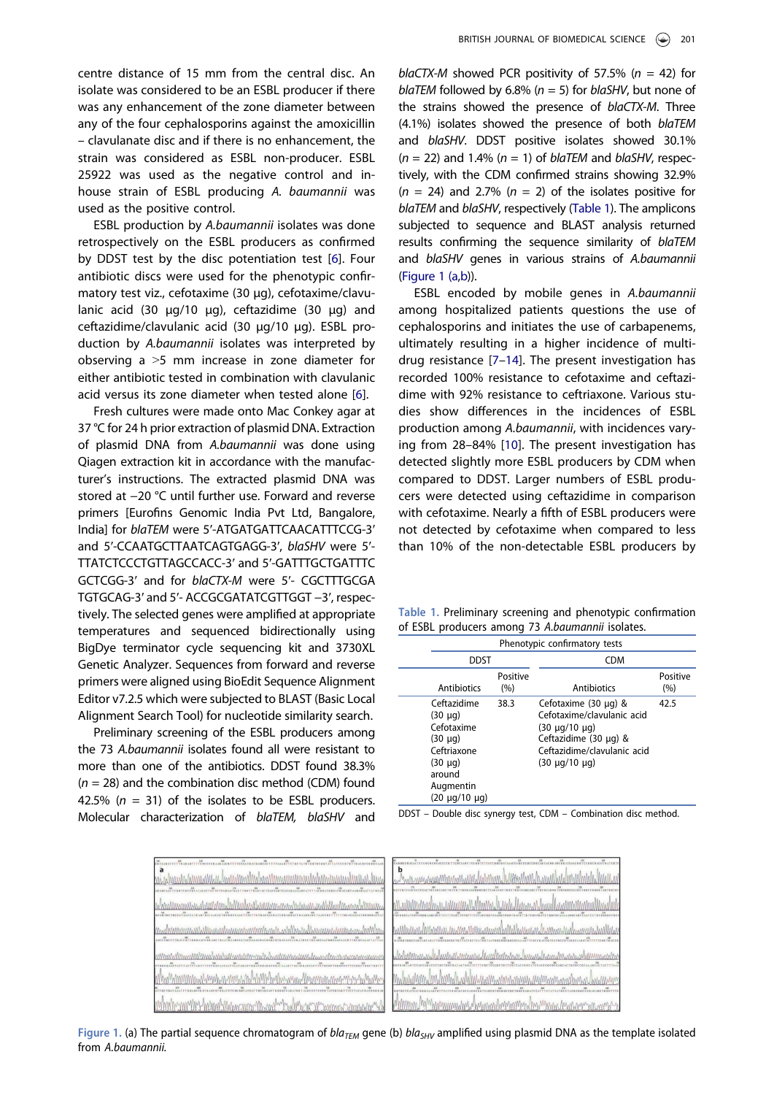centre distance of 15 mm from the central disc. An isolate was considered to be an ESBL producer if there was any enhancement of the zone diameter between any of the four cephalosporins against the amoxicillin – clavulanate disc and if there is no enhancement, the strain was considered as ESBL non-producer. ESBL 25922 was used as the negative control and inhouse strain of ESBL producing A. baumannii was used as the positive control.

ESBL production by A.baumannii isolates was done retrospectively on the ESBL producers as confirmed by DDST test by the disc potentiation test [\[6](#page-2-5)]. Four antibiotic discs were used for the phenotypic confirmatory test viz., cefotaxime (30 µg), cefotaxime/clavulanic acid (30 µg/10 µg), ceftazidime (30 µg) and ceftazidime/clavulanic acid (30 µg/10 µg). ESBL production by A.baumannii isolates was interpreted by observing a ˃5 mm increase in zone diameter for either antibiotic tested in combination with clavulanic acid versus its zone diameter when tested alone [[6\]](#page-2-5).

Fresh cultures were made onto Mac Conkey agar at 37 °C for 24 h prior extraction of plasmid DNA. Extraction of plasmid DNA from A.baumannii was done using Qiagen extraction kit in accordance with the manufacturer's instructions. The extracted plasmid DNA was stored at −20 °C until further use. Forward and reverse primers [Eurofins Genomic India Pvt Ltd, Bangalore, India] for blaTEM were 5ʹ-ATGATGATTCAACATTTCCG-3ʹ and 5ʹ-CCAATGCTTAATCAGTGAGG-3ʹ, blaSHV were 5ʹ-TTATCTCCCTGTTAGCCACC-3ʹ and 5ʹ-GATTTGCTGATTTC GCTCGG-3ʹ and for blaCTX-M were 5ʹ- CGCTTTGCGA TGTGCAG-3ʹ and 5ʹ- ACCGCGATATCGTTGGT −3ʹ, respectively. The selected genes were amplified at appropriate temperatures and sequenced bidirectionally using BigDye terminator cycle sequencing kit and 3730XL Genetic Analyzer. Sequences from forward and reverse primers were aligned using BioEdit Sequence Alignment Editor v7.2.5 which were subjected to BLAST (Basic Local Alignment Search Tool) for nucleotide similarity search.

Preliminary screening of the ESBL producers among the 73 A.baumannii isolates found all were resistant to more than one of the antibiotics. DDST found 38.3%  $(n = 28)$  and the combination disc method (CDM) found 42.5% ( $n = 31$ ) of the isolates to be ESBL producers. Molecular characterization of blaTEM, blaSHV and blaCTX-M showed PCR positivity of 57.5% ( $n = 42$ ) for blaTEM followed by 6.8% ( $n = 5$ ) for blaSHV, but none of the strains showed the presence of blaCTX-M. Three (4.1%) isolates showed the presence of both blaTEM and blaSHV. DDST positive isolates showed 30.1%  $(n = 22)$  and 1.4%  $(n = 1)$  of blaTEM and blaSHV, respectively, with the CDM confirmed strains showing 32.9%  $(n = 24)$  and 2.7%  $(n = 2)$  of the isolates positive for blaTEM and blaSHV, respectively [\(Table 1\)](#page-1-0). The amplicons subjected to sequence and BLAST analysis returned results confirming the sequence similarity of blaTEM and blaSHV genes in various strains of A.baumannii [\(Figure 1 \(a,b\)](#page-1-1)).

<span id="page-1-3"></span><span id="page-1-2"></span>ESBL encoded by mobile genes in A.baumannii among hospitalized patients questions the use of cephalosporins and initiates the use of carbapenems, ultimately resulting in a higher incidence of multidrug resistance [[7](#page-2-6)–[14](#page-2-7)]. The present investigation has recorded 100% resistance to cefotaxime and ceftazidime with 92% resistance to ceftriaxone. Various studies show differences in the incidences of ESBL production among A.baumannii, with incidences varying from 28–84% [\[10](#page-2-8)]. The present investigation has detected slightly more ESBL producers by CDM when compared to DDST. Larger numbers of ESBL producers were detected using ceftazidime in comparison with cefotaxime. Nearly a fifth of ESBL producers were not detected by cefotaxime when compared to less than 10% of the non-detectable ESBL producers by

<span id="page-1-0"></span>Table 1. Preliminary screening and phenotypic confirmation of ESBL producers among 73 A.baumannii isolates.

| Phenotypic confirmatory tests                                                                                                            |                 |                                                                                                                                                                        |                 |
|------------------------------------------------------------------------------------------------------------------------------------------|-----------------|------------------------------------------------------------------------------------------------------------------------------------------------------------------------|-----------------|
| <b>DDST</b>                                                                                                                              |                 | <b>CDM</b>                                                                                                                                                             |                 |
| Antibiotics                                                                                                                              | Positive<br>(%) | Antibiotics                                                                                                                                                            | Positive<br>(%) |
| Ceftazidime<br>$(30 \mu g)$<br>Cefotaxime<br>$(30 \mu q)$<br>Ceftriaxone<br>$(30 \mu q)$<br>around<br>Augmentin<br>$(20 \mu q/10 \mu q)$ | 38.3            | Cefotaxime $(30 \mu q)$ &<br>Cefotaxime/clavulanic acid<br>$(30 \mu q/10 \mu q)$<br>Ceftazidime $(30 \mu g)$ &<br>Ceftazidime/clavulanic acid<br>$(30 \mu q/10 \mu q)$ | 42.5            |

DDST – Double disc synergy test, CDM – Combination disc method.

<span id="page-1-1"></span>

|                                                                                                                                                                                                                                       | $\begin{smallmatrix} 0 & 0 & 0 & 0 \\ 0 & 0 & 0 & 0 & 0 \\ 0 & 0 & 0 & 0 & 0 \\ 0 & 0 & 0 & 0 & 0 \\ 0 & 0 & 0 & 0 & 0 \\ 0 & 0 & 0 & 0 & 0 \\ 0 & 0 & 0 & 0 & 0 \\ 0 & 0 & 0 & 0 & 0 \\ 0 & 0 & 0 & 0 & 0 \\ 0 & 0 & 0 & 0 & 0 \\ 0 & 0 & 0 & 0 & 0 \\ 0 & 0 & 0 & 0 & 0 \\ 0 & 0 & 0 & 0 & 0 \\ 0 & 0 & 0 & 0 & 0 \\ 0 & 0 & $<br>man man waxa man man katalog asl a malaman katalog mana man katalog asl a |
|---------------------------------------------------------------------------------------------------------------------------------------------------------------------------------------------------------------------------------------|---------------------------------------------------------------------------------------------------------------------------------------------------------------------------------------------------------------------------------------------------------------------------------------------------------------------------------------------------------------------------------------------------------------|
|                                                                                                                                                                                                                                       | ManMMnhmalmanananananan/Mmmmalnananahamaanahanahanananananahanaha                                                                                                                                                                                                                                                                                                                                             |
| <u>Much Manning Much Much Manning Much Manning Much Much Much Manning Much Manning Much Much Much Manning Manning</u><br>Lice Core 178 and Core a sure Core so and Canal Canal Core across Core are core continent of Caracter of The | monthemand proposed in the month of the contract of the contract of the contract of the contract of the contract of                                                                                                                                                                                                                                                                                           |
| www.mynaminaminamynamynaminamynamynamamamamynamynamyn                                                                                                                                                                                 | Whatman und what what was more than the mond was hour than the was demonsion                                                                                                                                                                                                                                                                                                                                  |
| งกล่างให้เป็นให้เป็นแห่งในที่เป็นให้เป็นให้เป็นให้เป็นให้เป็นให้เป็นให้เป็นให้เป็นให้เป็นให้เป็นให้เป็นให้เป็น                                                                                                                        |                                                                                                                                                                                                                                                                                                                                                                                                               |
| www.martin-hymnehymnesiaech-marthalmacker.htm                                                                                                                                                                                         |                                                                                                                                                                                                                                                                                                                                                                                                               |

Figure 1. (a) The partial sequence chromatogram of bla<sub>TEM</sub> gene (b) bla<sub>SHV</sub> amplified using plasmid DNA as the template isolated from A.baumannii.